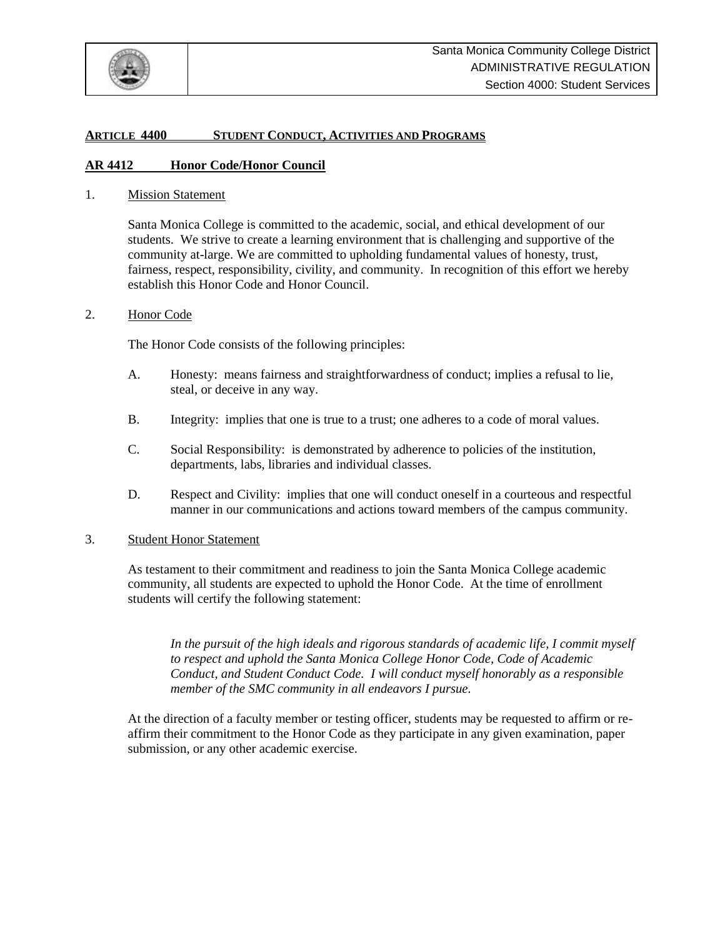

## **ARTICLE 4400 STUDENT CONDUCT, ACTIVITIES AND PROGRAMS**

#### **AR 4412 Honor Code/Honor Council**

1. Mission Statement

Santa Monica College is committed to the academic, social, and ethical development of our students. We strive to create a learning environment that is challenging and supportive of the community at-large. We are committed to upholding fundamental values of honesty, trust, fairness, respect, responsibility, civility, and community. In recognition of this effort we hereby establish this Honor Code and Honor Council.

#### 2. Honor Code

The Honor Code consists of the following principles:

- A. Honesty: means fairness and straightforwardness of conduct; implies a refusal to lie, steal, or deceive in any way.
- B. Integrity: implies that one is true to a trust; one adheres to a code of moral values.
- C. Social Responsibility: is demonstrated by adherence to policies of the institution, departments, labs, libraries and individual classes.
- D. Respect and Civility: implies that one will conduct oneself in a courteous and respectful manner in our communications and actions toward members of the campus community.

### 3. Student Honor Statement

As testament to their commitment and readiness to join the Santa Monica College academic community, all students are expected to uphold the Honor Code. At the time of enrollment students will certify the following statement:

*In the pursuit of the high ideals and rigorous standards of academic life, I commit myself to respect and uphold the Santa Monica College Honor Code, Code of Academic Conduct, and Student Conduct Code. I will conduct myself honorably as a responsible member of the SMC community in all endeavors I pursue.* 

At the direction of a faculty member or testing officer, students may be requested to affirm or reaffirm their commitment to the Honor Code as they participate in any given examination, paper submission, or any other academic exercise.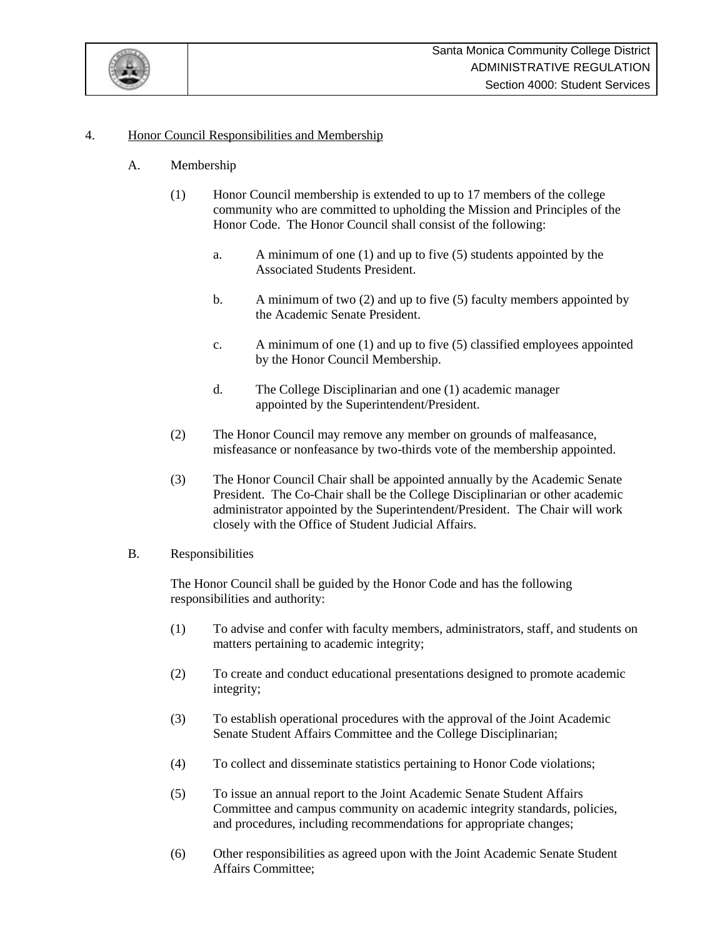

# 4. Honor Council Responsibilities and Membership

- A. Membership
	- (1) Honor Council membership is extended to up to 17 members of the college community who are committed to upholding the Mission and Principles of the Honor Code. The Honor Council shall consist of the following:
		- a. A minimum of one (1) and up to five (5) students appointed by the Associated Students President.
		- b. A minimum of two (2) and up to five (5) faculty members appointed by the Academic Senate President.
		- c. A minimum of one (1) and up to five (5) classified employees appointed by the Honor Council Membership.
		- d. The College Disciplinarian and one (1) academic manager appointed by the Superintendent/President.
	- (2) The Honor Council may remove any member on grounds of malfeasance, misfeasance or nonfeasance by two-thirds vote of the membership appointed.
	- (3) The Honor Council Chair shall be appointed annually by the Academic Senate President. The Co-Chair shall be the College Disciplinarian or other academic administrator appointed by the Superintendent/President. The Chair will work closely with the Office of Student Judicial Affairs.

## B. Responsibilities

The Honor Council shall be guided by the Honor Code and has the following responsibilities and authority:

- (1) To advise and confer with faculty members, administrators, staff, and students on matters pertaining to academic integrity;
- (2) To create and conduct educational presentations designed to promote academic integrity;
- (3) To establish operational procedures with the approval of the Joint Academic Senate Student Affairs Committee and the College Disciplinarian;
- (4) To collect and disseminate statistics pertaining to Honor Code violations;
- (5) To issue an annual report to the Joint Academic Senate Student Affairs Committee and campus community on academic integrity standards, policies, and procedures, including recommendations for appropriate changes;
- (6) Other responsibilities as agreed upon with the Joint Academic Senate Student Affairs Committee;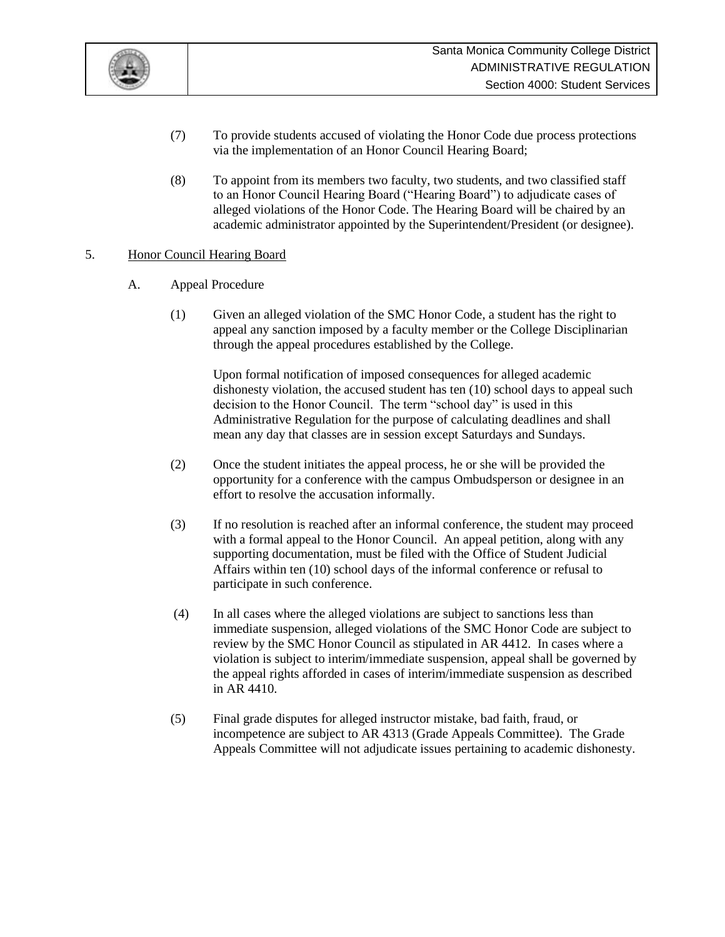

- (7) To provide students accused of violating the Honor Code due process protections via the implementation of an Honor Council Hearing Board;
- (8) To appoint from its members two faculty, two students, and two classified staff to an Honor Council Hearing Board ("Hearing Board") to adjudicate cases of alleged violations of the Honor Code. The Hearing Board will be chaired by an academic administrator appointed by the Superintendent/President (or designee).

## 5. Honor Council Hearing Board

- A. Appeal Procedure
	- (1) Given an alleged violation of the SMC Honor Code, a student has the right to appeal any sanction imposed by a faculty member or the College Disciplinarian through the appeal procedures established by the College.

Upon formal notification of imposed consequences for alleged academic dishonesty violation, the accused student has ten (10) school days to appeal such decision to the Honor Council. The term "school day" is used in this Administrative Regulation for the purpose of calculating deadlines and shall mean any day that classes are in session except Saturdays and Sundays.

- (2) Once the student initiates the appeal process, he or she will be provided the opportunity for a conference with the campus Ombudsperson or designee in an effort to resolve the accusation informally.
- (3) If no resolution is reached after an informal conference, the student may proceed with a formal appeal to the Honor Council. An appeal petition, along with any supporting documentation, must be filed with the Office of Student Judicial Affairs within ten (10) school days of the informal conference or refusal to participate in such conference.
- (4) In all cases where the alleged violations are subject to sanctions less than immediate suspension, alleged violations of the SMC Honor Code are subject to review by the SMC Honor Council as stipulated in AR 4412. In cases where a violation is subject to interim/immediate suspension, appeal shall be governed by the appeal rights afforded in cases of interim/immediate suspension as described in AR 4410.
- (5) Final grade disputes for alleged instructor mistake, bad faith, fraud, or incompetence are subject to AR 4313 (Grade Appeals Committee). The Grade Appeals Committee will not adjudicate issues pertaining to academic dishonesty.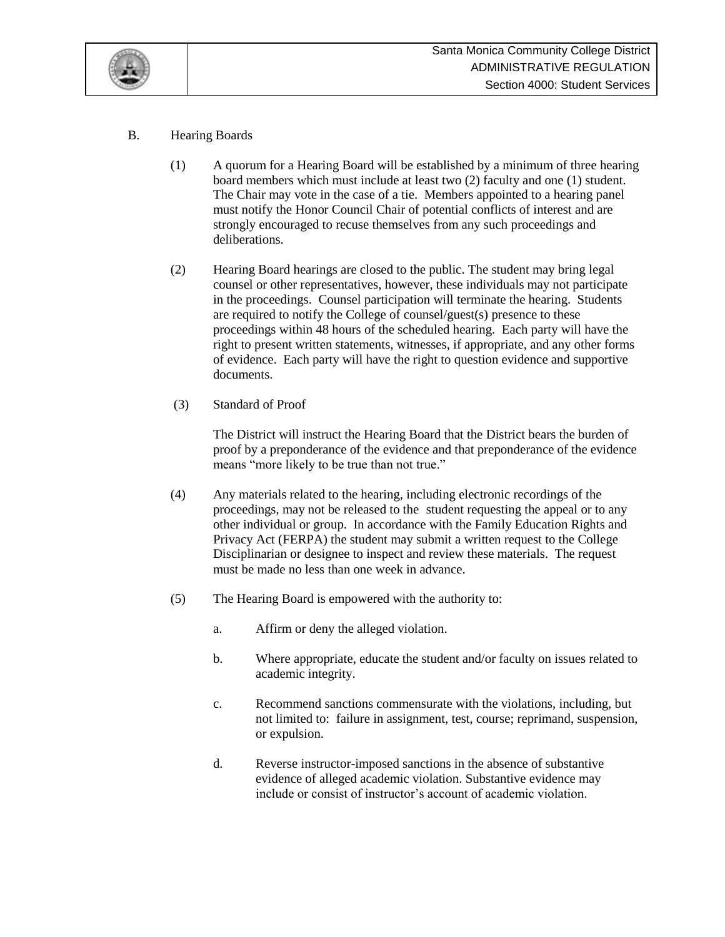

# B. Hearing Boards

- (1) A quorum for a Hearing Board will be established by a minimum of three hearing board members which must include at least two (2) faculty and one (1) student. The Chair may vote in the case of a tie. Members appointed to a hearing panel must notify the Honor Council Chair of potential conflicts of interest and are strongly encouraged to recuse themselves from any such proceedings and deliberations.
- (2) Hearing Board hearings are closed to the public. The student may bring legal counsel or other representatives, however, these individuals may not participate in the proceedings. Counsel participation will terminate the hearing. Students are required to notify the College of counsel/guest(s) presence to these proceedings within 48 hours of the scheduled hearing. Each party will have the right to present written statements, witnesses, if appropriate, and any other forms of evidence. Each party will have the right to question evidence and supportive documents.
- (3) Standard of Proof

The District will instruct the Hearing Board that the District bears the burden of proof by a preponderance of the evidence and that preponderance of the evidence means "more likely to be true than not true."

- (4) Any materials related to the hearing, including electronic recordings of the proceedings, may not be released to the student requesting the appeal or to any other individual or group. In accordance with the Family Education Rights and Privacy Act (FERPA) the student may submit a written request to the College Disciplinarian or designee to inspect and review these materials. The request must be made no less than one week in advance.
- (5) The Hearing Board is empowered with the authority to:
	- a. Affirm or deny the alleged violation.
	- b. Where appropriate, educate the student and/or faculty on issues related to academic integrity.
	- c. Recommend sanctions commensurate with the violations, including, but not limited to: failure in assignment, test, course; reprimand, suspension, or expulsion.
	- d. Reverse instructor-imposed sanctions in the absence of substantive evidence of alleged academic violation. Substantive evidence may include or consist of instructor's account of academic violation.